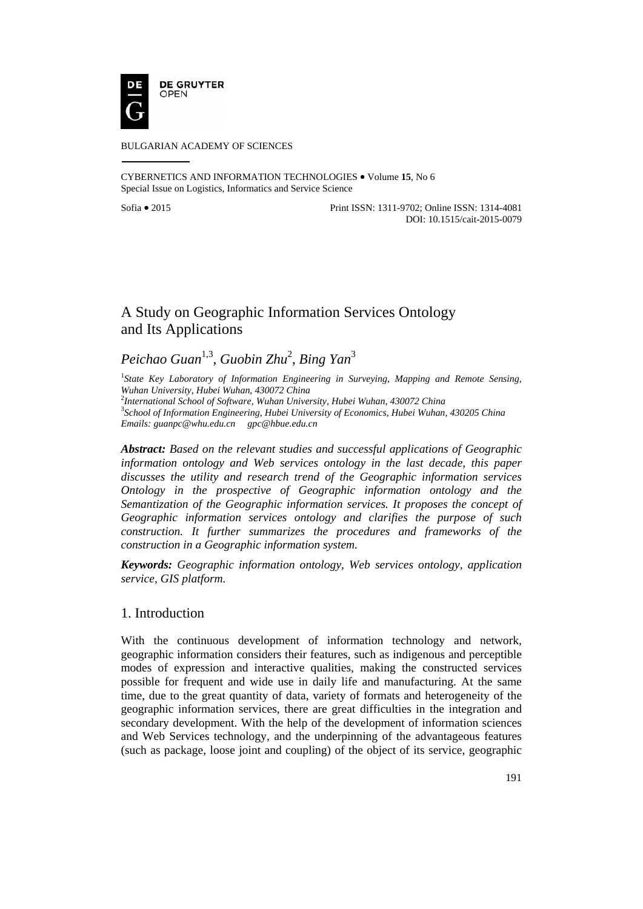

#### BULGARIAN ACADEMY OF SCIENCES

CYBERNETICS AND INFORMATION TECHNOLOGIES • Volume **15**, No 6 Special Issue on Logistics, Informatics and Service Science

Sofia • 2015 Print ISSN: 1311-9702; Online ISSN: 1314-4081 DOI: 10.1515/cait-2015-0079

# A Study on Geographic Information Services Ontology and Its Applications

# *Peichao Guan*1,3, *Guobin Zhu*<sup>2</sup> , *Bing Yan*<sup>3</sup>

<sup>1</sup> State Key Laboratory of Information Engineering in Surveying, Mapping and Remote Sensing, *Wuhan University, Hubei Wuhan, 430072 China* 

2 *International School of Software, Wuhan University, Hubei Wuhan, 430072 China* <sup>3</sup>

*School of Information Engineering, Hubei University of Economics, Hubei Wuhan, 430205 China Emails: guanpc@whu.edu.cn gpc@hbue.edu.cn* 

*Abstract: Based on the relevant studies and successful applications of Geographic information ontology and Web services ontology in the last decade, this paper discusses the utility and research trend of the Geographic information services Ontology in the prospective of Geographic information ontology and the Semantization of the Geographic information services. It proposes the concept of Geographic information services ontology and clarifies the purpose of such construction. It further summarizes the procedures and frameworks of the construction in a Geographic information system.* 

*Keywords: Geographic information ontology, Web services ontology, application service, GIS platform.*

## 1. Introduction

With the continuous development of information technology and network, geographic information considers their features, such as indigenous and perceptible modes of expression and interactive qualities, making the constructed services possible for frequent and wide use in daily life and manufacturing. At the same time, due to the great quantity of data, variety of formats and heterogeneity of the geographic information services, there are great difficulties in the integration and secondary development. With the help of the development of information sciences and Web Services technology, and the underpinning of the advantageous features (such as package, loose joint and coupling) of the object of its service, geographic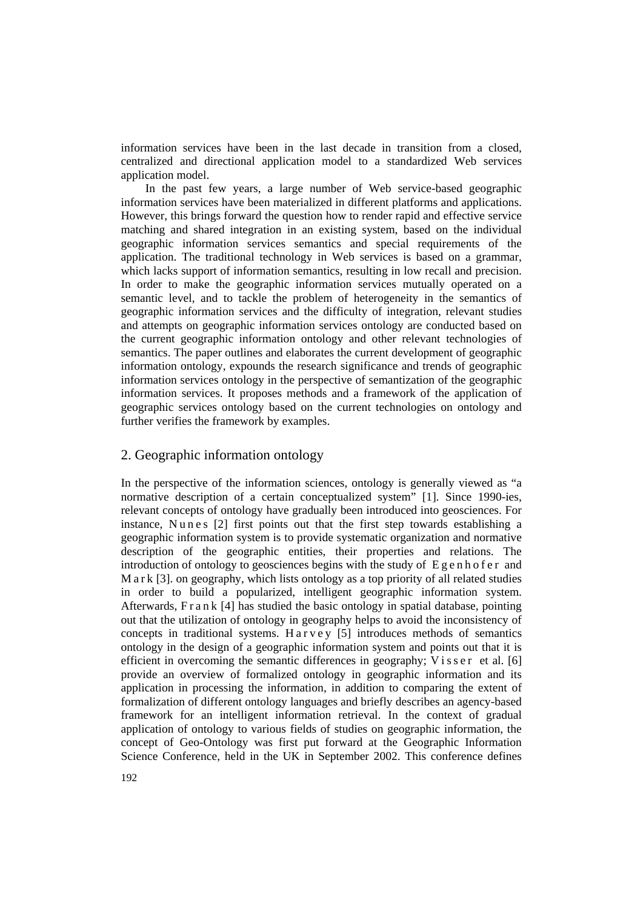information services have been in the last decade in transition from a closed, centralized and directional application model to a standardized Web services application model.

In the past few years, a large number of Web service-based geographic information services have been materialized in different platforms and applications. However, this brings forward the question how to render rapid and effective service matching and shared integration in an existing system, based on the individual geographic information services semantics and special requirements of the application. The traditional technology in Web services is based on a grammar, which lacks support of information semantics, resulting in low recall and precision. In order to make the geographic information services mutually operated on a semantic level, and to tackle the problem of heterogeneity in the semantics of geographic information services and the difficulty of integration, relevant studies and attempts on geographic information services ontology are conducted based on the current geographic information ontology and other relevant technologies of semantics. The paper outlines and elaborates the current development of geographic information ontology, expounds the research significance and trends of geographic information services ontology in the perspective of semantization of the geographic information services. It proposes methods and a framework of the application of geographic services ontology based on the current technologies on ontology and further verifies the framework by examples.

### 2. Geographic information ontology

In the perspective of the information sciences, ontology is generally viewed as "a normative description of a certain conceptualized system" [1]. Since 1990-ies, relevant concepts of ontology have gradually been introduced into geosciences. For instance. Nunes [2] first points out that the first step towards establishing a geographic information system is to provide systematic organization and normative description of the geographic entities, their properties and relations. The introduction of ontology to geosciences begins with the study of  $E \varrho e$  n h of  $e \varrho$  and M a r k [3]. on geography, which lists ontology as a top priority of all related studies in order to build a popularized, intelligent geographic information system. Afterwards, F r a n k [4] has studied the basic ontology in spatial database, pointing out that the utilization of ontology in geography helps to avoid the inconsistency of concepts in traditional systems. Harvey  $[5]$  introduces methods of semantics ontology in the design of a geographic information system and points out that it is efficient in overcoming the semantic differences in geography;  $V$  is s e r et al. [6] provide an overview of formalized ontology in geographic information and its application in processing the information, in addition to comparing the extent of formalization of different ontology languages and briefly describes an agency-based framework for an intelligent information retrieval. In the context of gradual application of ontology to various fields of studies on geographic information, the concept of Geo-Ontology was first put forward at the Geographic Information Science Conference, held in the UK in September 2002. This conference defines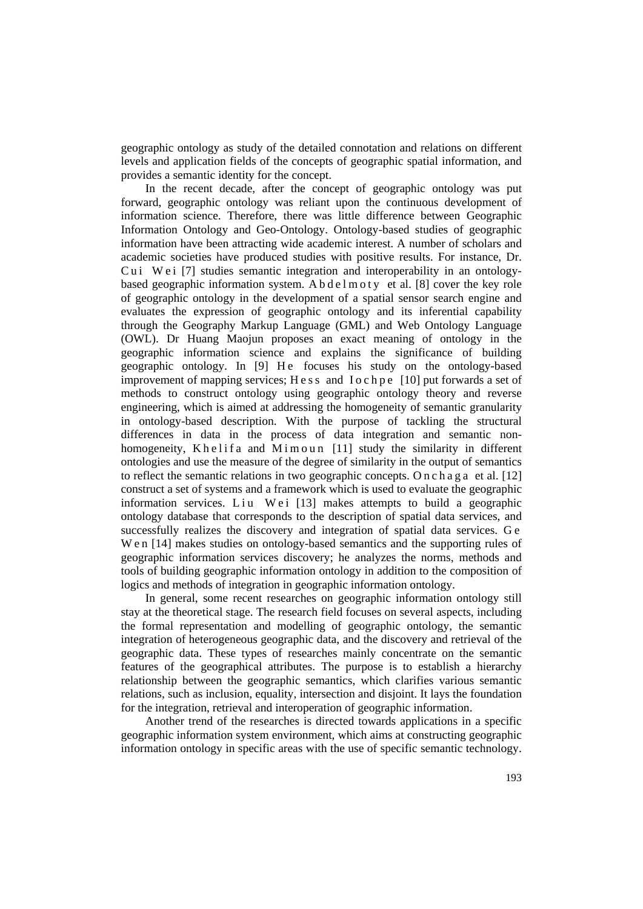geographic ontology as study of the detailed connotation and relations on different levels and application fields of the concepts of geographic spatial information, and provides a semantic identity for the concept.

In the recent decade, after the concept of geographic ontology was put forward, geographic ontology was reliant upon the continuous development of information science. Therefore, there was little difference between Geographic Information Ontology and Geo-Ontology. Ontology-based studies of geographic information have been attracting wide academic interest. A number of scholars and academic societies have produced studies with positive results. For instance, Dr. Cu i W e i [7] studies semantic integration and interoperability in an ontologybased geographic information system. A b d e l m o t y et al. [8] cover the key role of geographic ontology in the development of a spatial sensor search engine and evaluates the expression of geographic ontology and its inferential capability through the Geography Markup Language (GML) and Web Ontology Language (OWL). Dr Huang Maojun proposes an exact meaning of ontology in the geographic information science and explains the significance of building geographic ontology. In [9] He focuses his study on the ontology-based improvement of mapping services; H e s s and I o c h p e [10] put forwards a set of methods to construct ontology using geographic ontology theory and reverse engineering, which is aimed at addressing the homogeneity of semantic granularity in ontology-based description. With the purpose of tackling the structural differences in data in the process of data integration and semantic nonhomogeneity, K h e l i f a and M i m o u n  $[11]$  study the similarity in different ontologies and use the measure of the degree of similarity in the output of semantics to reflect the semantic relations in two geographic concepts. O n c h a g a et al.  $[12]$ construct a set of systems and a framework which is used to evaluate the geographic information services. Liu Wei [13] makes attempts to build a geographic ontology database that corresponds to the description of spatial data services, and successfully realizes the discovery and integration of spatial data services. G e W e n [14] makes studies on ontology-based semantics and the supporting rules of geographic information services discovery; he analyzes the norms, methods and tools of building geographic information ontology in addition to the composition of logics and methods of integration in geographic information ontology.

In general, some recent researches on geographic information ontology still stay at the theoretical stage. The research field focuses on several aspects, including the formal representation and modelling of geographic ontology, the semantic integration of heterogeneous geographic data, and the discovery and retrieval of the geographic data. These types of researches mainly concentrate on the semantic features of the geographical attributes. The purpose is to establish a hierarchy relationship between the geographic semantics, which clarifies various semantic relations, such as inclusion, equality, intersection and disjoint. It lays the foundation for the integration, retrieval and interoperation of geographic information.

Another trend of the researches is directed towards applications in a specific geographic information system environment, which aims at constructing geographic information ontology in specific areas with the use of specific semantic technology.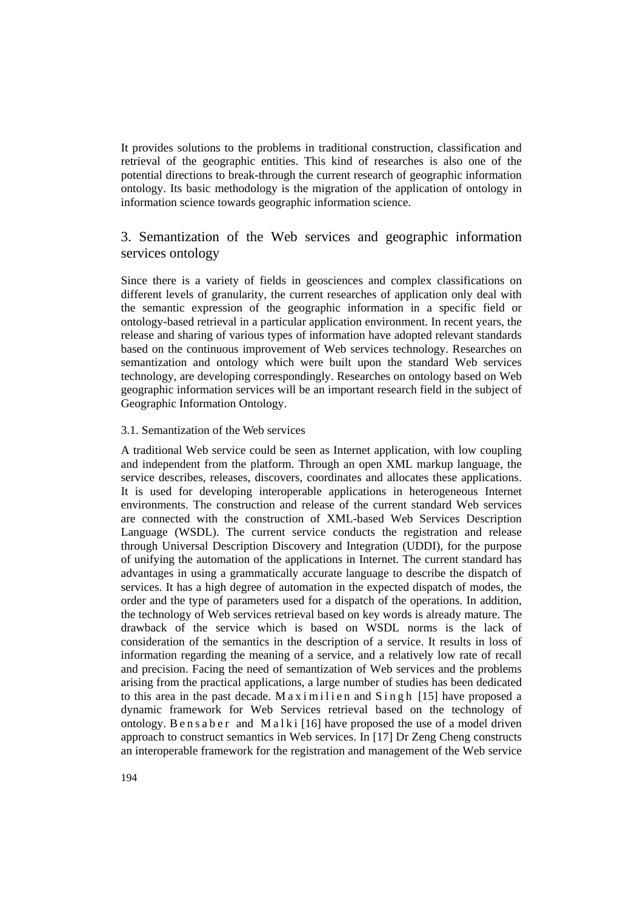It provides solutions to the problems in traditional construction, classification and retrieval of the geographic entities. This kind of researches is also one of the potential directions to break-through the current research of geographic information ontology. Its basic methodology is the migration of the application of ontology in information science towards geographic information science.

# 3. Semantization of the Web services and geographic information services ontology

Since there is a variety of fields in geosciences and complex classifications on different levels of granularity, the current researches of application only deal with the semantic expression of the geographic information in a specific field or ontology-based retrieval in a particular application environment. In recent years, the release and sharing of various types of information have adopted relevant standards based on the continuous improvement of Web services technology. Researches on semantization and ontology which were built upon the standard Web services technology, are developing correspondingly. Researches on ontology based on Web geographic information services will be an important research field in the subject of Geographic Information Ontology.

#### 3.1. Semantization of the Web services

A traditional Web service could be seen as Internet application, with low coupling and independent from the platform. Through an open XML markup language, the service describes, releases, discovers, coordinates and allocates these applications. It is used for developing interoperable applications in heterogeneous Internet environments. The construction and release of the current standard Web services are connected with the construction of XML-based Web Services Description Language (WSDL). The current service conducts the registration and release through Universal Description Discovery and Integration (UDDI), for the purpose of unifying the automation of the applications in Internet. The current standard has advantages in using a grammatically accurate language to describe the dispatch of services. It has a high degree of automation in the expected dispatch of modes, the order and the type of parameters used for a dispatch of the operations. In addition, the technology of Web services retrieval based on key words is already mature. The drawback of the service which is based on WSDL norms is the lack of consideration of the semantics in the description of a service. It results in loss of information regarding the meaning of a service, and a relatively low rate of recall and precision. Facing the need of semantization of Web services and the problems arising from the practical applications, a large number of studies has been dedicated to this area in the past decade. M a x i m i l i e n and  $S$  in g h [15] have proposed a dynamic framework for Web Services retrieval based on the technology of ontology. Ben s a b e r and M a l k i  $[16]$  have proposed the use of a model driven approach to construct semantics in Web services. In [17] Dr Zeng Cheng constructs an interoperable framework for the registration and management of the Web service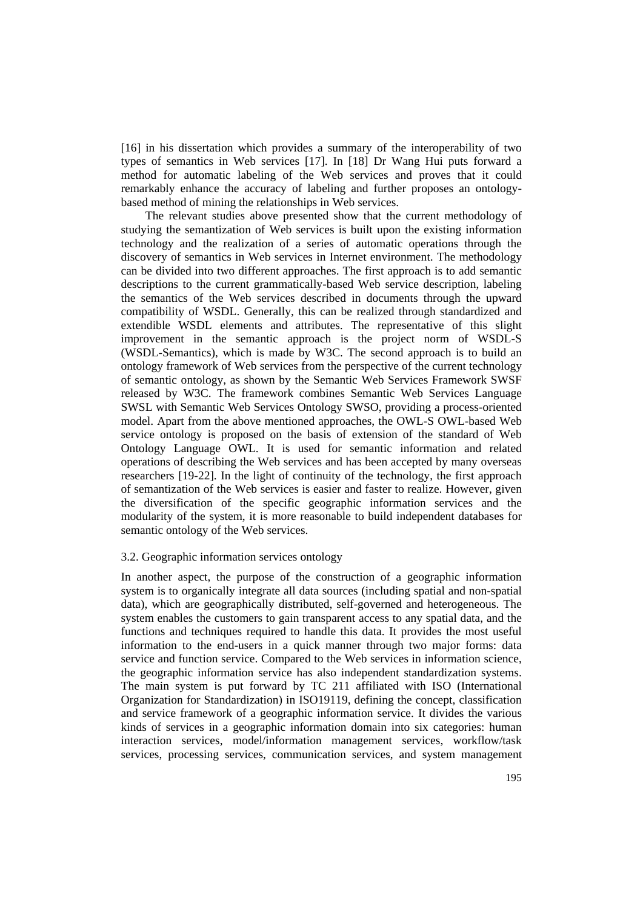[16] in his dissertation which provides a summary of the interoperability of two types of semantics in Web services [17]. In [18] Dr Wang Hui puts forward a method for automatic labeling of the Web services and proves that it could remarkably enhance the accuracy of labeling and further proposes an ontologybased method of mining the relationships in Web services.

The relevant studies above presented show that the current methodology of studying the semantization of Web services is built upon the existing information technology and the realization of a series of automatic operations through the discovery of semantics in Web services in Internet environment. The methodology can be divided into two different approaches. The first approach is to add semantic descriptions to the current grammatically-based Web service description, labeling the semantics of the Web services described in documents through the upward compatibility of WSDL. Generally, this can be realized through standardized and extendible WSDL elements and attributes. The representative of this slight improvement in the semantic approach is the project norm of WSDL-S (WSDL-Semantics), which is made by W3C. The second approach is to build an ontology framework of Web services from the perspective of the current technology of semantic ontology, as shown by the Semantic Web Services Framework SWSF released by W3C. The framework combines Semantic Web Services Language SWSL with Semantic Web Services Ontology SWSO, providing a process-oriented model. Apart from the above mentioned approaches, the OWL-S OWL-based Web service ontology is proposed on the basis of extension of the standard of Web Ontology Language OWL. It is used for semantic information and related operations of describing the Web services and has been accepted by many overseas researchers [19-22]. In the light of continuity of the technology, the first approach of semantization of the Web services is easier and faster to realize. However, given the diversification of the specific geographic information services and the modularity of the system, it is more reasonable to build independent databases for semantic ontology of the Web services.

#### 3.2. Geographic information services ontology

In another aspect, the purpose of the construction of a geographic information system is to organically integrate all data sources (including spatial and non-spatial data), which are geographically distributed, self-governed and heterogeneous. The system enables the customers to gain transparent access to any spatial data, and the functions and techniques required to handle this data. It provides the most useful information to the end-users in a quick manner through two major forms: data service and function service. Compared to the Web services in information science, the geographic information service has also independent standardization systems. The main system is put forward by TC 211 affiliated with ISO (International Organization for Standardization) in ISO19119, defining the concept, classification and service framework of a geographic information service. It divides the various kinds of services in a geographic information domain into six categories: human interaction services, model/information management services, workflow/task services, processing services, communication services, and system management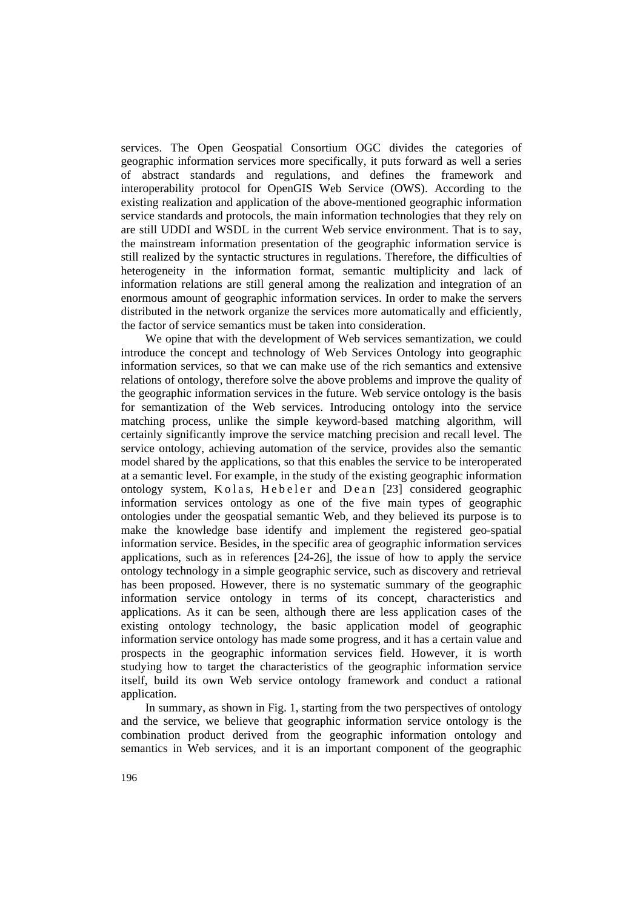services. The Open Geospatial Consortium OGC divides the categories of geographic information services more specifically, it puts forward as well a series of abstract standards and regulations, and defines the framework and interoperability protocol for OpenGIS Web Service (OWS). According to the existing realization and application of the above-mentioned geographic information service standards and protocols, the main information technologies that they rely on are still UDDI and WSDL in the current Web service environment. That is to say, the mainstream information presentation of the geographic information service is still realized by the syntactic structures in regulations. Therefore, the difficulties of heterogeneity in the information format, semantic multiplicity and lack of information relations are still general among the realization and integration of an enormous amount of geographic information services. In order to make the servers distributed in the network organize the services more automatically and efficiently, the factor of service semantics must be taken into consideration.

We opine that with the development of Web services semantization, we could introduce the concept and technology of Web Services Ontology into geographic information services, so that we can make use of the rich semantics and extensive relations of ontology, therefore solve the above problems and improve the quality of the geographic information services in the future. Web service ontology is the basis for semantization of the Web services. Introducing ontology into the service matching process, unlike the simple keyword-based matching algorithm, will certainly significantly improve the service matching precision and recall level. The service ontology, achieving automation of the service, provides also the semantic model shared by the applications, so that this enables the service to be interoperated at a semantic level. For example, in the study of the existing geographic information ontology system, K o l a s, H e b e l e r and D e a n [23] considered geographic information services ontology as one of the five main types of geographic ontologies under the geospatial semantic Web, and they believed its purpose is to make the knowledge base identify and implement the registered geo-spatial information service. Besides, in the specific area of geographic information services applications, such as in references [24-26], the issue of how to apply the service ontology technology in a simple geographic service, such as discovery and retrieval has been proposed. However, there is no systematic summary of the geographic information service ontology in terms of its concept, characteristics and applications. As it can be seen, although there are less application cases of the existing ontology technology, the basic application model of geographic information service ontology has made some progress, and it has a certain value and prospects in the geographic information services field. However, it is worth studying how to target the characteristics of the geographic information service itself, build its own Web service ontology framework and conduct a rational application.

In summary, as shown in Fig. 1, starting from the two perspectives of ontology and the service, we believe that geographic information service ontology is the combination product derived from the geographic information ontology and semantics in Web services, and it is an important component of the geographic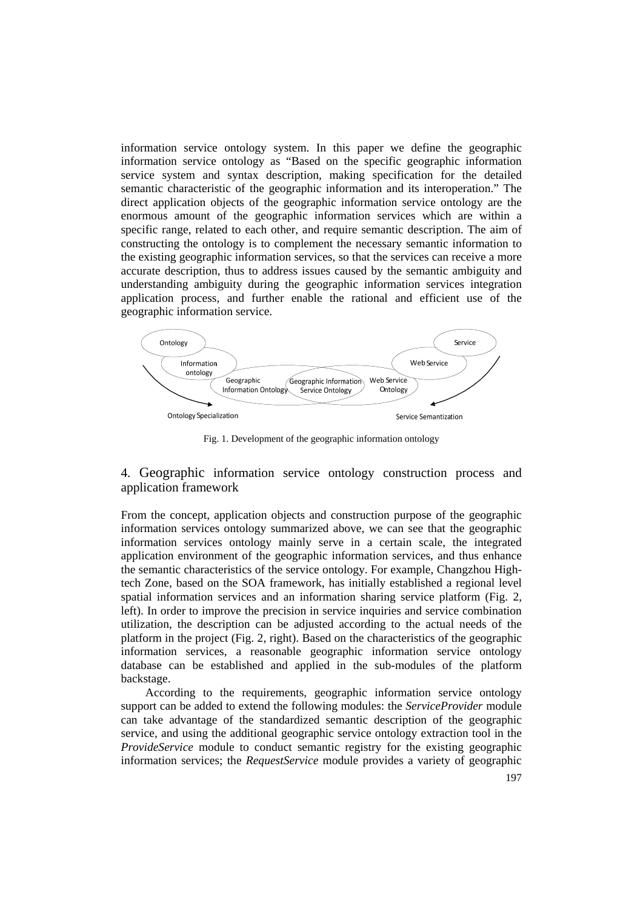information service ontology system. In this paper we define the geographic information service ontology as "Based on the specific geographic information service system and syntax description, making specification for the detailed semantic characteristic of the geographic information and its interoperation." The direct application objects of the geographic information service ontology are the enormous amount of the geographic information services which are within a specific range, related to each other, and require semantic description. The aim of constructing the ontology is to complement the necessary semantic information to the existing geographic information services, so that the services can receive a more accurate description, thus to address issues caused by the semantic ambiguity and understanding ambiguity during the geographic information services integration application process, and further enable the rational and efficient use of the geographic information service.



Fig. 1. Development of the geographic information ontology

### 4. Geographic information service ontology construction process and application framework

From the concept, application objects and construction purpose of the geographic information services ontology summarized above, we can see that the geographic information services ontology mainly serve in a certain scale, the integrated application environment of the geographic information services, and thus enhance the semantic characteristics of the service ontology. For example, Changzhou Hightech Zone, based on the SOA framework, has initially established a regional level spatial information services and an information sharing service platform (Fig. 2, left). In order to improve the precision in service inquiries and service combination utilization, the description can be adjusted according to the actual needs of the platform in the project (Fig. 2, right). Based on the characteristics of the geographic information services, a reasonable geographic information service ontology database can be established and applied in the sub-modules of the platform backstage.

According to the requirements, geographic information service ontology support can be added to extend the following modules: the *ServiceProvider* module can take advantage of the standardized semantic description of the geographic service, and using the additional geographic service ontology extraction tool in the *ProvideService* module to conduct semantic registry for the existing geographic information services; the *RequestService* module provides a variety of geographic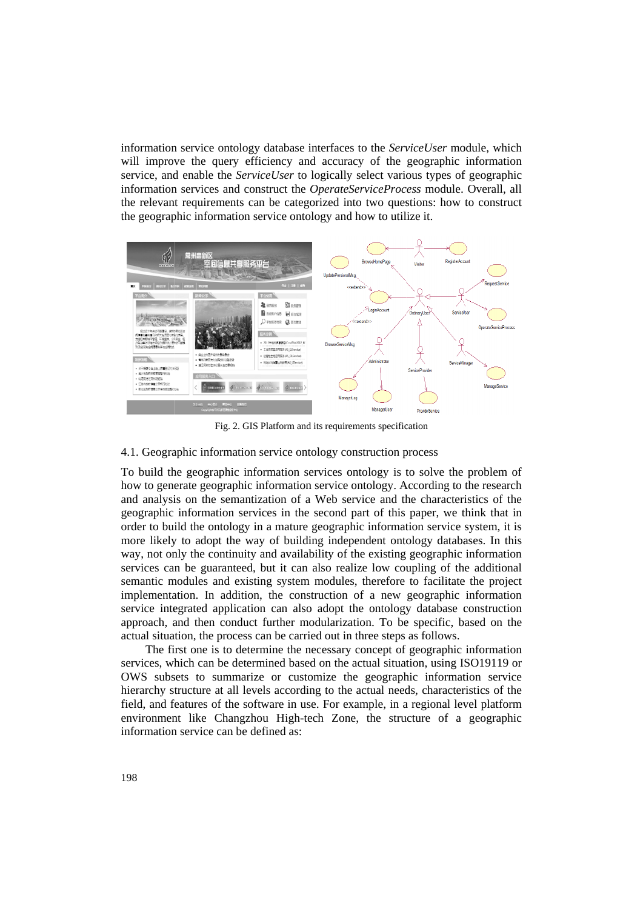information service ontology database interfaces to the ServiceUser module, which will improve the query efficiency and accuracy of the geographic information service, and enable the *ServiceUser* to logically select various types of geographic information services and construct the OperateServiceProcess module. Overall, all the relevant requirements can be categorized into two questions: how to construct the geographic information service ontology and how to utilize it.



Fig. 2. GIS Platform and its requirements specification

#### 4.1. Geographic information service ontology construction process

To build the geographic information services ontology is to solve the problem of how to generate geographic information service ontology. According to the research and analysis on the semantization of a Web service and the characteristics of the geographic information services in the second part of this paper, we think that in order to build the ontology in a mature geographic information service system, it is more likely to adopt the way of building independent ontology databases. In this way, not only the continuity and availability of the existing geographic information services can be guaranteed, but it can also realize low coupling of the additional semantic modules and existing system modules, therefore to facilitate the project implementation. In addition, the construction of a new geographic information service integrated application can also adopt the ontology database construction approach, and then conduct further modularization. To be specific, based on the actual situation, the process can be carried out in three steps as follows.

The first one is to determine the necessary concept of geographic information services, which can be determined based on the actual situation, using ISO19119 or OWS subsets to summarize or customize the geographic information service hierarchy structure at all levels according to the actual needs, characteristics of the field, and features of the software in use. For example, in a regional level platform environment like Changzhou High-tech Zone, the structure of a geographic information service can be defined as: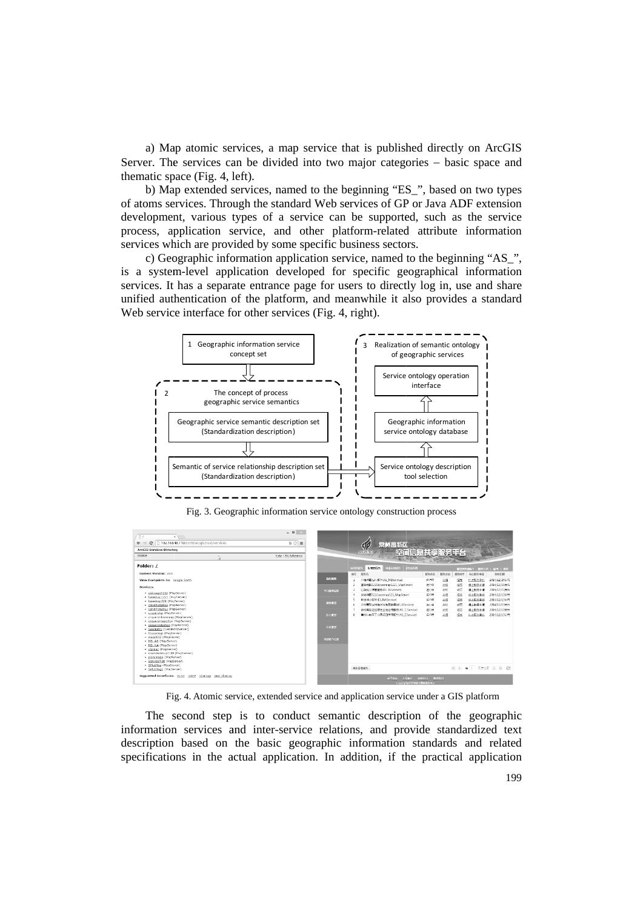a) Map atomic services, a map service that is published directly on ArcGIS Server. The services can be divided into two major categories – basic space and thematic space (Fig. 4, left).

b) Map extended services, named to the beginning "ES", based on two types of atoms services. Through the standard Web services of GP or Java ADF extension development, various types of a service can be supported, such as the service process, application service, and other platform-related attribute information services which are provided by some specific business sectors.

c) Geographic information application service, named to the beginning "AS", is a system-level application developed for specific geographical information services. It has a separate entrance page for users to directly log in, use and share unified authentication of the platform, and meanwhile it also provides a standard Web service interface for other services (Fig. 4, right).



Fig. 3. Geographic information service ontology construction process

| E<br>ĸ.                                                           | $\begin{array}{c c c c c} \hline \multicolumn{3}{c }{\mathbf{L}} & \multicolumn{3}{c }{\mathbf{L}} & \multicolumn{3}{c }{\mathbf{L}} & \multicolumn{3}{c }{\mathbf{L}} & \multicolumn{3}{c }{\mathbf{L}} & \multicolumn{3}{c }{\mathbf{L}} & \multicolumn{3}{c }{\mathbf{L}} & \multicolumn{3}{c }{\mathbf{L}} & \multicolumn{3}{c }{\mathbf{L}} & \multicolumn{3}{c }{\mathbf{L}} & \multicolumn{3}{c }{\mathbf{L}} & \multicolumn{3}{c }{\mathbf{L$ |                  |              |                                        |              |              |      |                  |                         |
|-------------------------------------------------------------------|-------------------------------------------------------------------------------------------------------------------------------------------------------------------------------------------------------------------------------------------------------------------------------------------------------------------------------------------------------------------------------------------------------------------------------------------------------|------------------|--------------|----------------------------------------|--------------|--------------|------|------------------|-------------------------|
| 192.168.48.110:8399/arcqis/rest/services<br>C<br>$\leftarrow$ $-$ | $h \otimes \equiv$                                                                                                                                                                                                                                                                                                                                                                                                                                    |                  |              | 常州高新区<br>GF                            |              |              |      |                  |                         |
| <b>ArcGIS Services Directory</b>                                  |                                                                                                                                                                                                                                                                                                                                                                                                                                                       |                  |              | 空间信息共享服务平台<br><b>NEW &amp; HI-TECH</b> |              |              |      |                  |                         |
| <b>I Experient</b>                                                | Help   API teference                                                                                                                                                                                                                                                                                                                                                                                                                                  |                  |              |                                        |              |              |      |                  |                         |
|                                                                   |                                                                                                                                                                                                                                                                                                                                                                                                                                                       |                  |              |                                        |              |              |      |                  |                         |
| Folder: /                                                         |                                                                                                                                                                                                                                                                                                                                                                                                                                                       |                  | <b>HEMES</b> | 发布的同分<br>中華市的設置<br>取締役の内               |              |              |      |                  | ■建筑数据6-1 建阿首奥   温用   邮件 |
| Current Version: 10.0                                             |                                                                                                                                                                                                                                                                                                                                                                                                                                                       |                  | 中で           | 服务名                                    | 配色状态         | 服务介绍         | 服务相节 | 师止股务申请           | 发布日期                    |
| View Footprints In: Google Earth                                  |                                                                                                                                                                                                                                                                                                                                                                                                                                                       | 我的影響             | I.           | 京連は歴化の服务(AS MBService)                 | \$550        | 企图           | 设置   | ○上級の中的           | 2014/12/24法官            |
| Services:                                                         |                                                                                                                                                                                                                                                                                                                                                                                                                                                       |                  |              | 事理#\$图1221/basemap1221 MadServer)      | 运行中          | 介绍           | 温节   | 集上設备事業           | 2014/12/15 米石           |
|                                                                   |                                                                                                                                                                                                                                                                                                                                                                                                                                                       | 11:8507          | R            | FEBRAH (TRIMATES ASSOCIATE)            | 854          | 介绍           | 通行   | 停止脱分十两           | 2014/12/15 **           |
| · airimage1116 (MapServer)<br>· basemap1221 (MapServer)           |                                                                                                                                                                                                                                                                                                                                                                                                                                                       |                  | 4            | 基地地面521ibasemap521 MapServer)          | 运行中          | 介绍           | 烟节   | 带上服务事情           | 2014/12/13法定            |
| · basemap521 (MapServer)                                          |                                                                                                                                                                                                                                                                                                                                                                                                                                                       | <b>ESSER</b>     | 5            | 地名地址服务(ES NASenice)                    | 运行中          | 介绍           | 设置   | 常上服务事情           | 2014/12/13 米布           |
| - CzndPlot2012 (MapServer)<br>· CzndPlot2013 (MapServer)          |                                                                                                                                                                                                                                                                                                                                                                                                                                                       |                  | r.           | 常用高新区用电流光发压器旁(AS_LIService)            | 804          | 血塩           | 湖区   | 通上総合主義           | 2014/12/13 #6:          |
| · czquervkp (MapServer)                                           |                                                                                                                                                                                                                                                                                                                                                                                                                                                       |                  |              | 常州高新区经营性土地企用较分(AS CLService)           | 运行中          | 介绍           | 师节   | 停止服务丰青<br>公正認めます | 2014/12/13:896          |
| · czguerylibasemap (MapServer)                                    |                                                                                                                                                                                                                                                                                                                                                                                                                                                       | 100110           |              | 常州に創区工业同期日定用股为(AS_ESService)           | 581          | 介绍           | 湿地   |                  | 2014/12/13法定            |
| · czquerymap1214 (MapServer)<br>· szquervelomap (MapServer)       |                                                                                                                                                                                                                                                                                                                                                                                                                                                       |                  |              |                                        |              |              |      |                  |                         |
| · Geometry (GeometryServer)                                       |                                                                                                                                                                                                                                                                                                                                                                                                                                                       | 首の電話             |              |                                        |              |              |      |                  |                         |
| · libycomer (ManServer)                                           |                                                                                                                                                                                                                                                                                                                                                                                                                                                       |                  |              |                                        |              |              |      |                  |                         |
| · map2012 (MapServer)<br>· MS AS (MapServer)                      |                                                                                                                                                                                                                                                                                                                                                                                                                                                       | <b>SHOW YOUR</b> |              |                                        |              |              |      |                  |                         |
| . MS NA (MapServer)                                               |                                                                                                                                                                                                                                                                                                                                                                                                                                                       |                  |              |                                        |              |              |      |                  |                         |
| · plpmap (MapServer)                                              |                                                                                                                                                                                                                                                                                                                                                                                                                                                       |                  |              |                                        |              |              |      |                  |                         |
| · overviewmap1116 (MapServer)<br>· planimage (MapServer)          |                                                                                                                                                                                                                                                                                                                                                                                                                                                       |                  |              |                                        |              |              |      |                  |                         |
| · ServicePlot (MapServer)                                         |                                                                                                                                                                                                                                                                                                                                                                                                                                                       |                  |              |                                        |              |              |      |                  |                         |
| · SPlotMsg (MapServer)                                            |                                                                                                                                                                                                                                                                                                                                                                                                                                                       |                  |              | 中的定案部列                                 |              |              |      |                  |                         |
| . SPlotMsg1 (MapServer)                                           |                                                                                                                                                                                                                                                                                                                                                                                                                                                       |                  |              |                                        |              |              |      |                  |                         |
| Supported Interfaces: REST SOAP Sitemap Geo Sitemap               |                                                                                                                                                                                                                                                                                                                                                                                                                                                       |                  |              | *T#as<br>中心能介                          | <b>RANKS</b> | <b>KS501</b> |      |                  |                         |

Fig. 4. Atomic service, extended service and application service under a GIS platform

The second step is to conduct semantic description of the geographic information services and inter-service relations, and provide standardized text description based on the basic geographic information standards and related specifications in the actual application. In addition, if the practical application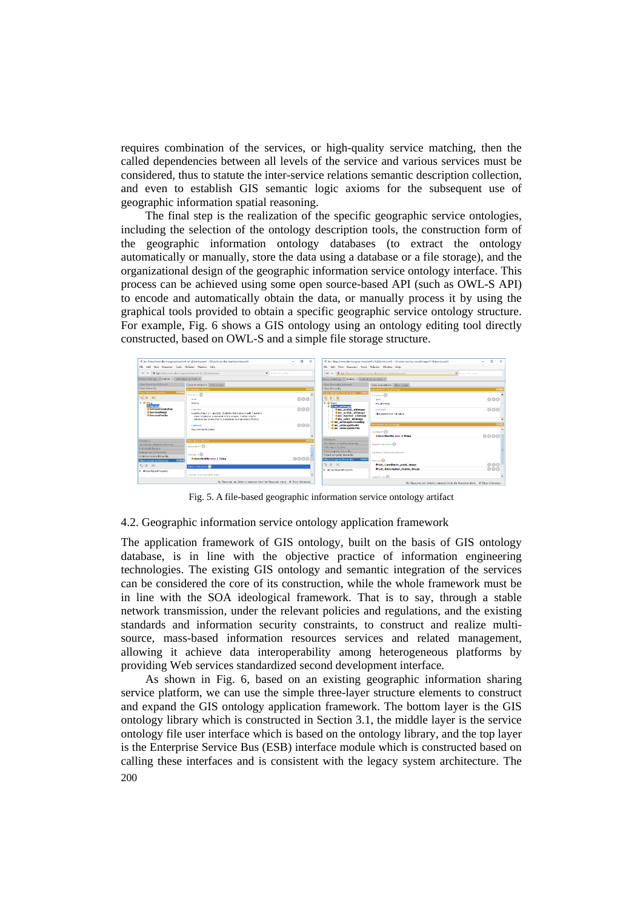requires combination of the services, or high-quality service matching, then the called dependencies between all levels of the service and various services must be considered, thus to statute the inter-service relations semantic description collection, and even to establish GIS semantic logic axioms for the subsequent use of geographic information spatial reasoning.

The final step is the realization of the specific geographic service ontologies, including the selection of the ontology description tools, the construction form of the geographic information ontology databases (to extract the ontology automatically or manually, store the data using a database or a file storage), and the organizational design of the geographic information service ontology interface. This process can be achieved using some open source-based API (such as OWL-S API) to encode and automatically obtain the data, or manually process it by using the graphical tools provided to obtain a specific geographic service ontology structure. For example, Fig. 6 shows a GIS ontology using an ontology editing tool directly constructed, based on OWL-S and a simple file storage structure.



Fig. 5. A file-based geographic information service ontology artifact

#### 4.2. Geographic information service ontology application framework

The application framework of GIS ontology, built on the basis of GIS ontology database, is in line with the objective practice of information engineering technologies. The existing GIS ontology and semantic integration of the services can be considered the core of its construction, while the whole framework must be in line with the SOA ideological framework. That is to say, through a stable network transmission, under the relevant policies and regulations, and the existing standards and information security constraints, to construct and realize multisource, mass-based information resources services and related management, allowing it achieve data interoperability among heterogeneous platforms by providing Web services standardized second development interface.

200 As shown in Fig. 6, based on an existing geographic information sharing service platform, we can use the simple three-layer structure elements to construct and expand the GIS ontology application framework. The bottom layer is the GIS ontology library which is constructed in Section 3.1, the middle layer is the service ontology file user interface which is based on the ontology library, and the top layer is the Enterprise Service Bus (ESB) interface module which is constructed based on calling these interfaces and is consistent with the legacy system architecture. The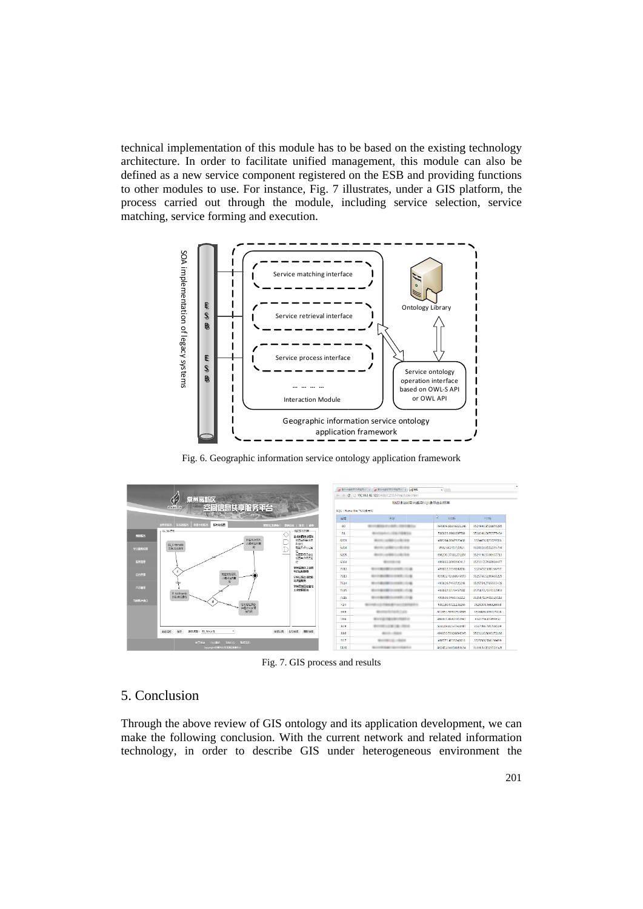technical implementation of this module has to be based on the existing technology architecture. In order to facilitate unified management, this module can also be defined as a new service component registered on the ESB and providing functions to other modules to use. For instance, Fig. 7 illustrates, under a GIS platform, the process carried out through the module, including service selection, service matching, service forming and execution.



Fig. 6. Geographic information service ontology application framework

| Á,<br>常州高新区<br>空间信息共享报务平台<br><b>NEW BIR-TECH</b> |                                                         |                                  |       | + + C in 192.168.48.123:8400/CZ5S/Html/table.html<br>地名地址秘务兴趣点SOL语句查询结果<br>SQL: Nane like "%/8/firts%" |                           |                    |  |  |  |  |
|--------------------------------------------------|---------------------------------------------------------|----------------------------------|-------|--------------------------------------------------------------------------------------------------------|---------------------------|--------------------|--|--|--|--|
|                                                  |                                                         |                                  | 编号    | 告诉                                                                                                     | R.<br>光出标                 | VOL NE             |  |  |  |  |
|                                                  | 服务流程图<br><b>MITTINGS</b><br>中国449493<br><b>SUBJECTS</b> | 管理器 取締条1<br><b>ENGAL BELL MA</b> | 89    | ALC: UNKNOWN                                                                                           | 194869.16646321246        | 3524990.1521076285 |  |  |  |  |
| 最終設施                                             | -ES.NATH                                                | 6台部公列車<br>O                      | 81    | <b>CARD COM</b>                                                                                        | 500823.9961007581         | 3531341.0670575434 |  |  |  |  |
|                                                  | 消色地出现.<br>兴趣点名称画                                        | 基础地图像家服务<br>消費を行わる力              | 6203  | 181,944                                                                                                | 498284.0667920438         | 3524476.821079583  |  |  |  |  |
| 半白腹長松菜                                           | ES_Arthmetic<br>iā<br>副部型基础作                            | 形盘位<br>お国の場合に対                   | 6,234 | 81,914                                                                                                 | 498238291/51927           | 6524518.8102235794 |  |  |  |  |
|                                                  |                                                         | 和医国特氏中位<br>-                     | 6205  | 49.954                                                                                                 | 498230.37581271151        | 3524446.5338407713 |  |  |  |  |
|                                                  |                                                         | 地図単位程序定<br>10                    | 6364  |                                                                                                        | 499033.0093992412         | 3523117.7968994477 |  |  |  |  |
|                                                  | if.                                                     | <b>SHARKIGHT</b><br>地目应用配套       | 7612  | <b>ASSISTENCE</b>                                                                                      | 493813.1938602036         | 3525712.508138797  |  |  |  |  |
|                                                  | 地名地址翻孔<br>光線系空画面                                        | 2#2新区用电机                         | 7613  | 410111-016                                                                                             | 093802-02688506953        | 3525766.5286666225 |  |  |  |  |
|                                                  |                                                         | 况同查目的<br>学校高新区经营性                | 7614  |                                                                                                        | 4938267453720248          | 3525754.2765593426 |  |  |  |  |
|                                                  | El Arithmetic                                           | 土地内用配名                           | 7615  | $-11.4$                                                                                                | 493837.5123457581         | 8525827.2321557053 |  |  |  |  |
|                                                  | 日常病法療作                                                  |                                  | 7920  | $-11.46$                                                                                               | <b>QUZEZE GARAYSZ1212</b> | 35258719432529118  |  |  |  |  |
|                                                  | if.<br>地名地址服务                                           |                                  | 424   |                                                                                                        | 5001805721138256          | 3525004.066820958  |  |  |  |  |
|                                                  | 句页例                                                     |                                  | 659   | -                                                                                                      | 501651,50502510585        | 3536186.009017418  |  |  |  |  |
|                                                  |                                                         |                                  | 706   |                                                                                                        | 486061.86801852307        | 3547706.01899852   |  |  |  |  |
|                                                  |                                                         |                                  | 849   | 1981 1991                                                                                              | 501119.81537930487        | 3537496.785708519  |  |  |  |  |
|                                                  | 新菜原理: ES NApril<br>道建筑程<br>$\cdot$<br>做作                | 流行信用 & 行流程 機関流程                  | 886   |                                                                                                        | 499033.53926896345        | 3523116.6890272186 |  |  |  |  |
|                                                  | <b>WSEC</b><br>c'estatest<br>¥T#ä<br>$-11835600$        |                                  | 917   | THE CALL CRADE                                                                                         | 498771,4159242016         | 3525306.516130499  |  |  |  |  |
|                                                  | Copyrightの常用し新分解に基準上心                                   |                                  | 1130  | <b>Product Control</b>                                                                                 | 48241266818883654         | 6588637.1323119528 |  |  |  |  |

Fig. 7. GIS process and results

# 5. Conclusion

Through the above review of GIS ontology and its application development, we can make the following conclusion. With the current network and related information technology, in order to describe GIS under heterogeneous environment the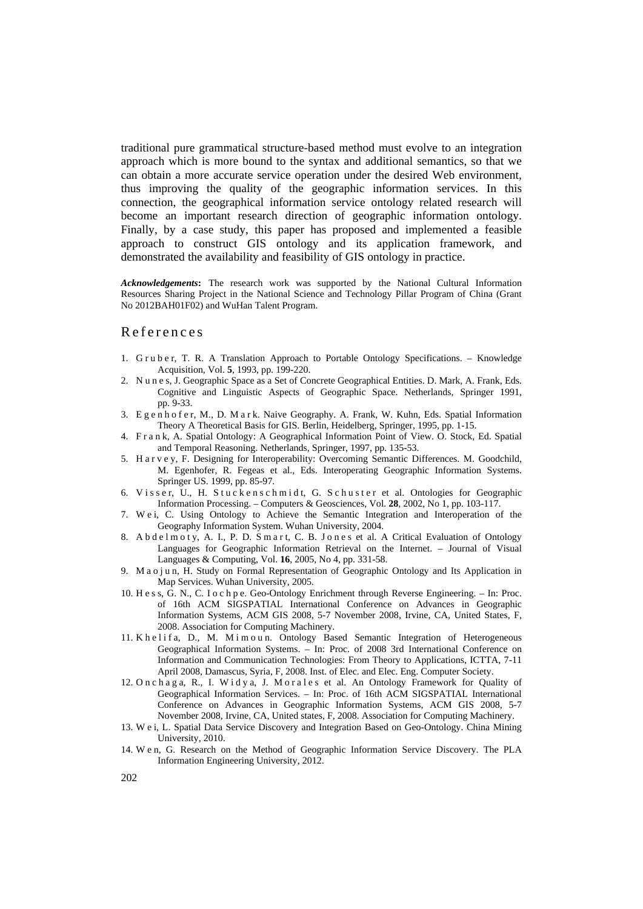traditional pure grammatical structure-based method must evolve to an integration approach which is more bound to the syntax and additional semantics, so that we can obtain a more accurate service operation under the desired Web environment, thus improving the quality of the geographic information services. In this connection, the geographical information service ontology related research will become an important research direction of geographic information ontology. Finally, by a case study, this paper has proposed and implemented a feasible approach to construct GIS ontology and its application framework, and demonstrated the availability and feasibility of GIS ontology in practice.

*Acknowledgements***:** The research work was supported by the National Cultural Information Resources Sharing Project in the National Science and Technology Pillar Program of China (Grant No 2012BAH01F02) and WuHan Talent Program.

## References

- 1. G r u b e r, T. R. A Translation Approach to Portable Ontology Specifications. Knowledge Acquisition, Vol. **5**, 1993, pp. 199-220.
- 2. N u n e s, J. Geographic Space as a Set of Concrete Geographical Entities. D. Mark, A. Frank, Eds. Cognitive and Linguistic Aspects of Geographic Space. Netherlands, Springer 1991, pp. 9-33.
- 3. Egenhofer, M., D. Mark. Naive Geography. A. Frank, W. Kuhn, Eds. Spatial Information Theory A Theoretical Basis for GIS. Berlin, Heidelberg, Springer, 1995, pp. 1-15.
- 4. F r a n k, A. Spatial Ontology: A Geographical Information Point of View. O. Stock, Ed. Spatial and Temporal Reasoning. Netherlands, Springer, 1997, pp. 135-53.
- 5. H a r v e y, F. Designing for Interoperability: Overcoming Semantic Differences. M. Goodchild, M. Egenhofer, R. Fegeas et al., Eds. Interoperating Geographic Information Systems. Springer US. 1999, pp. 85-97.
- 6. Visser, U., H. Stuckenschmidt, G. Schuster et al. Ontologies for Geographic Information Processing. – Computers & Geosciences, Vol. **28**, 2002, No 1, pp. 103-117.
- 7. W e i, C. Using Ontology to Achieve the Semantic Integration and Interoperation of the Geography Information System. Wuhan University, 2004.
- 8. A b d e l m o t y, A. I., P. D. S m a r t, C. B. J o n e s et al. A Critical Evaluation of Ontology Languages for Geographic Information Retrieval on the Internet. – Journal of Visual Languages & Computing, Vol. **16**, 2005, No 4, pp. 331-58.
- 9. Mao jun, H. Study on Formal Representation of Geographic Ontology and Its Application in Map Services. Wuhan University, 2005.
- 10. H e s s, G. N., C. I o c h p e. Geo-Ontology Enrichment through Reverse Engineering. In: Proc. of 16th ACM SIGSPATIAL International Conference on Advances in Geographic Information Systems, ACM GIS 2008, 5-7 November 2008, Irvine, CA, United States, F, 2008. Association for Computing Machinery.
- 11. K h e l i f a, D., M. M i m o u n. Ontology Based Semantic Integration of Heterogeneous Geographical Information Systems. – In: Proc. of 2008 3rd International Conference on Information and Communication Technologies: From Theory to Applications, ICTTA, 7-11 April 2008, Damascus, Syria, F, 2008. Inst. of Elec. and Elec. Eng. Computer Society.
- 12. On c h a g a, R., I. Wid y a, J. M or a l e s et al. An Ontology Framework for Quality of Geographical Information Services. – In: Proc. of 16th ACM SIGSPATIAL International Conference on Advances in Geographic Information Systems, ACM GIS 2008, 5-7 November 2008, Irvine, CA, United states, F, 2008. Association for Computing Machinery.
- 13. W e i, L. Spatial Data Service Discovery and Integration Based on Geo-Ontology. China Mining University, 2010.
- 14. W e n, G. Research on the Method of Geographic Information Service Discovery. The PLA Information Engineering University, 2012.